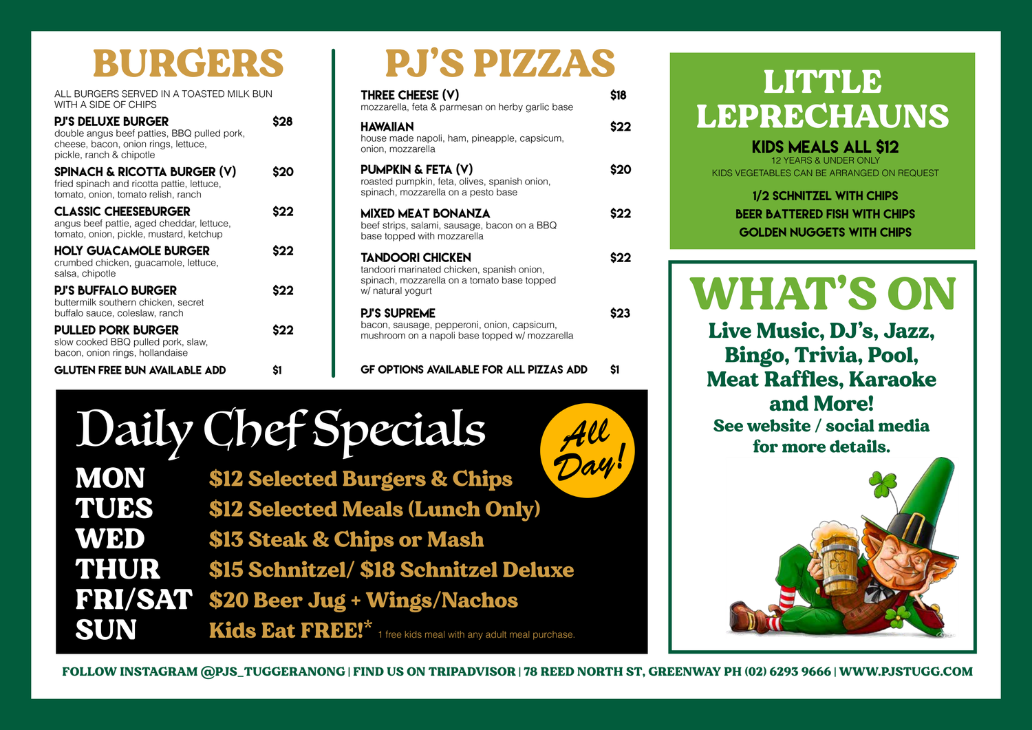#### **LITTLE** LEPRECHAUNS

KIDS MEALS ALL \$12 12 YEARS & UNDER ONLY KIDS VEGETABLES CAN BE ARRANGED ON REQUEST

> 1/2 Schnitzel with chips **BEER BATTERED FISH WITH CHIPS** Golden nuggets with chips

# Daily Chef Specials

All<br>Day! **MON** \$12 Selected Burgers & Chips TUES \$12 Selected Meals (Lunch Only) WED \$13 Steak & Chips or Mash THUR \$15 Schnitzel/ \$18 Schnitzel Deluxe FRI/SAT \$20 Beer Jug + Wings/Nachos SUN Kids Eat FREE!\* 1 free kids meal with any adult meal purchase.



ALL BURGERS SERVED IN A TOASTED MILK BUN WITH A SIDE OF CHIPS

### BURGERS

| <b>PJ'S DELUXE BURGER</b><br>double angus beef patties, BBQ pulled pork,<br>cheese, bacon, onion rings, lettuce,<br>pickle, ranch & chipotle |     |
|----------------------------------------------------------------------------------------------------------------------------------------------|-----|
| <b>SPINACH &amp; RICOTTA BURGER (V)</b><br>fried spinach and ricotta pattie, lettuce,<br>tomato, onion, tomato relish, ranch                 | S20 |
| <b>CLASSIC CHEESEBURGER</b><br>angus beef pattie, aged cheddar, lettuce,<br>tomato, onion, pickle, mustard, ketchup                          | S22 |
| HOLY GUACAMOLE BURGER<br>crumbed chicken, guacamole, lettuce,<br>salsa, chipotle                                                             | S22 |
| <b>PJ'S BUFFALO BURGER</b><br>buttermilk southern chicken, secret<br>buffalo sauce, coleslaw, ranch                                          | S22 |
| <b>PULLED PORK BURGER</b><br>slow cooked BBQ pulled pork, slaw,<br>bacon, onion rings, hollandaise                                           | S22 |
| <b>GLUTEN FREE BUN AVAILABLE ADD</b>                                                                                                         | S1  |

## PJ'S PIZZAS

| THREE CHEESE (V)<br>mozzarella, feta & parmesan on herby garlic base                                                               |  |
|------------------------------------------------------------------------------------------------------------------------------------|--|
| <b>HAWAIIAN</b><br>house made napoli, ham, pineapple, capsicum,<br>onion, mozzarella                                               |  |
| PUMPKIN & FETA (V)<br>roasted pumpkin, feta, olives, spanish onion,<br>spinach, mozzarella on a pesto base                         |  |
| MIXED MEAT BONANZA<br>beef strips, salami, sausage, bacon on a BBQ<br>base topped with mozzarella                                  |  |
| TANDOORI CHICKEN<br>tandoori marinated chicken, spanish onion,<br>spinach, mozzarella on a tomato base topped<br>w/ natural yogurt |  |
| <b>PJ'S SUPREME</b><br>bacon, sausage, pepperoni, onion, capsicum,<br>mushroom on a napoli base topped w/ mozzarella               |  |

GF OPTIONS AVAILABLE FOR ALL PIZZAS ADD \$1



FOLLOW INSTAGRAM @PJS\_TUGGERANONG | FIND US ON TRIPADVISOR | 78 REED NORTH ST, GREENWAY PH (02) 6293 9666 | WWW.PJSTUGG.COM